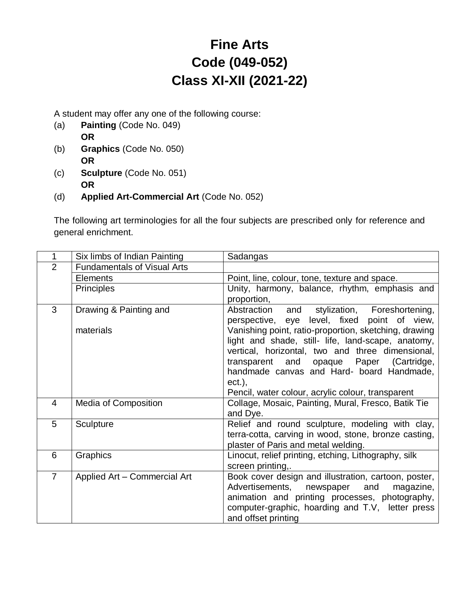# **Fine Arts Code (049-052) Class XI-XII (2021-22)**

A student may offer any one of the following course:

- (a) **Painting** (Code No. 049) **OR**
- (b) **Graphics** (Code No. 050) **OR**
- (c) **Sculpture** (Code No. 051) **OR**
- (d) **Applied Art-Commercial Art** (Code No. 052)

The following art terminologies for all the four subjects are prescribed only for reference and general enrichment.

| 1              | Six limbs of Indian Painting       | Sadangas                                                                                               |
|----------------|------------------------------------|--------------------------------------------------------------------------------------------------------|
| $\overline{2}$ | <b>Fundamentals of Visual Arts</b> |                                                                                                        |
|                | <b>Elements</b>                    | Point, line, colour, tone, texture and space.                                                          |
|                | <b>Principles</b>                  | Unity, harmony, balance, rhythm, emphasis and                                                          |
|                |                                    | proportion,                                                                                            |
| 3              | Drawing & Painting and             | stylization, Foreshortening,<br>Abstraction<br>and                                                     |
|                |                                    | perspective, eye level, fixed point of view,                                                           |
|                | materials                          | Vanishing point, ratio-proportion, sketching, drawing                                                  |
|                |                                    | light and shade, still- life, land-scape, anatomy,<br>vertical, horizontal, two and three dimensional, |
|                |                                    | transparent and opaque Paper (Cartridge,                                                               |
|                |                                    | handmade canvas and Hard- board Handmade,                                                              |
|                |                                    | $ect.$ ),                                                                                              |
|                |                                    | Pencil, water colour, acrylic colour, transparent                                                      |
| $\overline{4}$ | <b>Media of Composition</b>        | Collage, Mosaic, Painting, Mural, Fresco, Batik Tie                                                    |
|                |                                    | and Dye.                                                                                               |
| 5              | Sculpture                          | Relief and round sculpture, modeling with clay,                                                        |
|                |                                    | terra-cotta, carving in wood, stone, bronze casting,                                                   |
|                |                                    | plaster of Paris and metal welding.                                                                    |
| 6              | Graphics                           | Linocut, relief printing, etching, Lithography, silk                                                   |
|                |                                    | screen printing,.                                                                                      |
| $\overline{7}$ | Applied Art - Commercial Art       | Book cover design and illustration, cartoon, poster,<br>Advertisements,<br>newspaper<br>and            |
|                |                                    | magazine,<br>animation and printing processes, photography,                                            |
|                |                                    | computer-graphic, hoarding and T.V, letter press                                                       |
|                |                                    | and offset printing                                                                                    |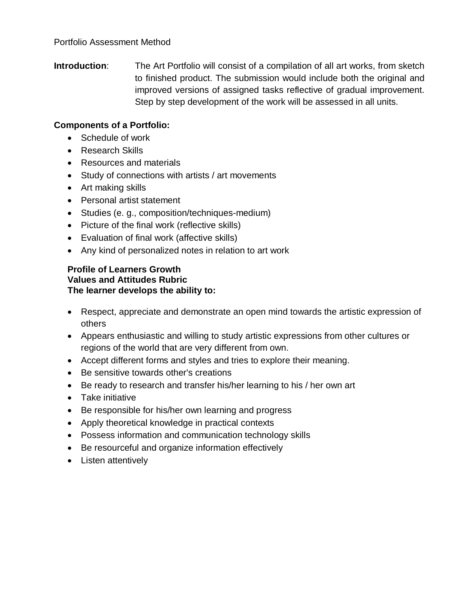**Introduction:** The Art Portfolio will consist of a compilation of all art works, from sketch to finished product. The submission would include both the original and improved versions of assigned tasks reflective of gradual improvement. Step by step development of the work will be assessed in all units.

#### **Components of a Portfolio:**

- Schedule of work
- Research Skills
- Resources and materials
- Study of connections with artists / art movements
- Art making skills
- Personal artist statement
- Studies (e. g., composition/techniques-medium)
- Picture of the final work (reflective skills)
- Evaluation of final work (affective skills)
- Any kind of personalized notes in relation to art work

#### **Profile of Learners Growth Values and Attitudes Rubric The learner develops the ability to:**

- Respect, appreciate and demonstrate an open mind towards the artistic expression of others
- Appears enthusiastic and willing to study artistic expressions from other cultures or regions of the world that are very different from own.
- Accept different forms and styles and tries to explore their meaning.
- Be sensitive towards other's creations
- Be ready to research and transfer his/her learning to his / her own art
- Take initiative
- Be responsible for his/her own learning and progress
- Apply theoretical knowledge in practical contexts
- Possess information and communication technology skills
- Be resourceful and organize information effectively
- Listen attentively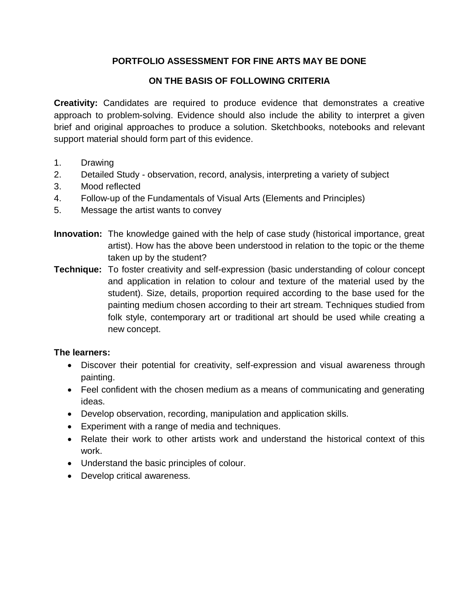### **PORTFOLIO ASSESSMENT FOR FINE ARTS MAY BE DONE**

### **ON THE BASIS OF FOLLOWING CRITERIA**

**Creativity:** Candidates are required to produce evidence that demonstrates a creative approach to problem-solving. Evidence should also include the ability to interpret a given brief and original approaches to produce a solution. Sketchbooks, notebooks and relevant support material should form part of this evidence.

- 1. Drawing
- 2. Detailed Study observation, record, analysis, interpreting a variety of subject
- 3. Mood reflected
- 4. Follow-up of the Fundamentals of Visual Arts (Elements and Principles)
- 5. Message the artist wants to convey
- **Innovation:** The knowledge gained with the help of case study (historical importance, great artist). How has the above been understood in relation to the topic or the theme taken up by the student?
- **Technique:** To foster creativity and self-expression (basic understanding of colour concept and application in relation to colour and texture of the material used by the student). Size, details, proportion required according to the base used for the painting medium chosen according to their art stream. Techniques studied from folk style, contemporary art or traditional art should be used while creating a new concept.

#### **The learners:**

- Discover their potential for creativity, self-expression and visual awareness through painting.
- Feel confident with the chosen medium as a means of communicating and generating ideas.
- Develop observation, recording, manipulation and application skills.
- Experiment with a range of media and techniques.
- Relate their work to other artists work and understand the historical context of this work.
- Understand the basic principles of colour.
- Develop critical awareness.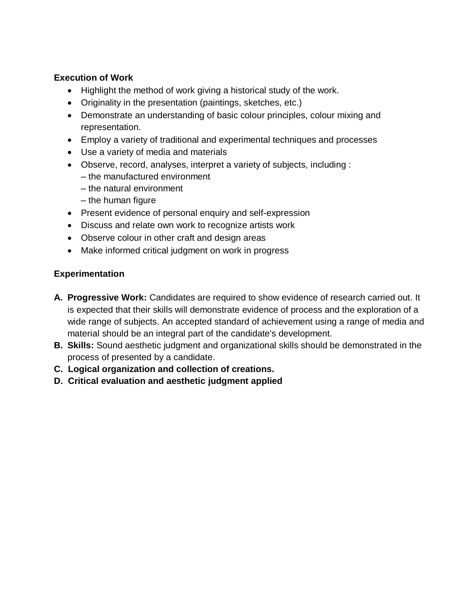#### **Execution of Work**

- Highlight the method of work giving a historical study of the work.
- Originality in the presentation (paintings, sketches, etc.)
- Demonstrate an understanding of basic colour principles, colour mixing and representation.
- Employ a variety of traditional and experimental techniques and processes
- Use a variety of media and materials
- Observe, record, analyses, interpret a variety of subjects, including :
	- the manufactured environment
	- the natural environment
	- the human figure
- Present evidence of personal enquiry and self-expression
- Discuss and relate own work to recognize artists work
- Observe colour in other craft and design areas
- Make informed critical judgment on work in progress

#### **Experimentation**

- **A. Progressive Work:** Candidates are required to show evidence of research carried out. It is expected that their skills will demonstrate evidence of process and the exploration of a wide range of subjects. An accepted standard of achievement using a range of media and material should be an integral part of the candidate's development.
- **B. Skills:** Sound aesthetic judgment and organizational skills should be demonstrated in the process of presented by a candidate.
- **C. Logical organization and collection of creations.**
- **D. Critical evaluation and aesthetic judgment applied**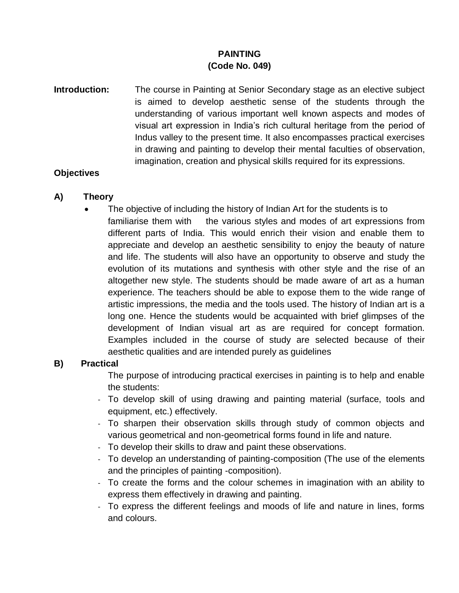### **PAINTING (Code No. 049)**

**Introduction:** The course in Painting at Senior Secondary stage as an elective subject is aimed to develop aesthetic sense of the students through the understanding of various important well known aspects and modes of visual art expression in India's rich cultural heritage from the period of Indus valley to the present time. It also encompasses practical exercises in drawing and painting to develop their mental faculties of observation, imagination, creation and physical skills required for its expressions.

#### **Objectives**

#### **A) Theory**

 The objective of including the history of Indian Art for the students is to familiarise them with the various styles and modes of art expressions from different parts of India. This would enrich their vision and enable them to appreciate and develop an aesthetic sensibility to enjoy the beauty of nature and life. The students will also have an opportunity to observe and study the evolution of its mutations and synthesis with other style and the rise of an altogether new style. The students should be made aware of art as a human experience. The teachers should be able to expose them to the wide range of artistic impressions, the media and the tools used. The history of Indian art is a long one. Hence the students would be acquainted with brief glimpses of the development of Indian visual art as are required for concept formation. Examples included in the course of study are selected because of their aesthetic qualities and are intended purely as guidelines

#### **B) Practical**

The purpose of introducing practical exercises in painting is to help and enable the students:

- To develop skill of using drawing and painting material (surface, tools and equipment, etc.) effectively.
- To sharpen their observation skills through study of common objects and various geometrical and non-geometrical forms found in life and nature.
- To develop their skills to draw and paint these observations.
- To develop an understanding of painting-composition (The use of the elements and the principles of painting -composition).
- To create the forms and the colour schemes in imagination with an ability to express them effectively in drawing and painting.
- To express the different feelings and moods of life and nature in lines, forms and colours.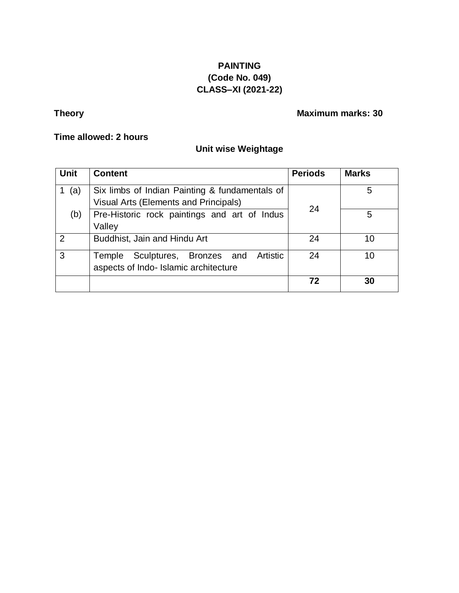### **PAINTING (Code No. 049) CLASS–XI (2021-22)**

# **Theory Maximum marks: 30**

#### **Time allowed: 2 hours**

### **Unit wise Weightage**

| <b>Unit</b>   | <b>Content</b>                                                                          | <b>Periods</b> | <b>Marks</b> |
|---------------|-----------------------------------------------------------------------------------------|----------------|--------------|
| (a)           | Six limbs of Indian Painting & fundamentals of<br>Visual Arts (Elements and Principals) | 24             | 5            |
| (b)           | Pre-Historic rock paintings and art of Indus<br>Valley                                  |                | 5            |
| $\mathcal{P}$ | Buddhist, Jain and Hindu Art                                                            | 24             | 10           |
| 3             | Artistic<br>Sculptures, Bronzes and<br>Temple<br>aspects of Indo- Islamic architecture  | 24             | 10           |
|               |                                                                                         | 72             | 30           |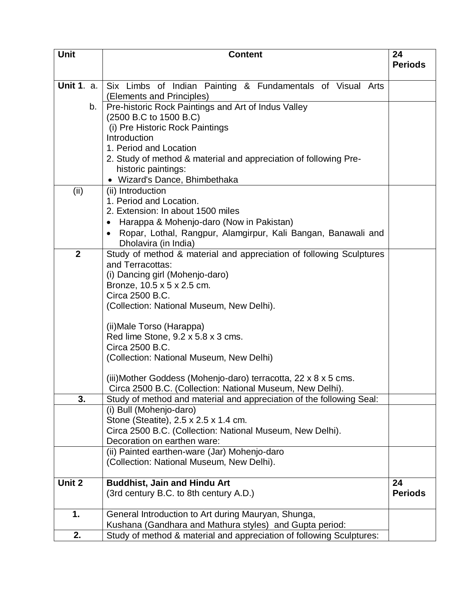| <b>Unit</b>       | <b>Content</b>                                                                          |                |
|-------------------|-----------------------------------------------------------------------------------------|----------------|
|                   |                                                                                         | <b>Periods</b> |
|                   |                                                                                         |                |
| <b>Unit 1. a.</b> | Six Limbs of Indian Painting & Fundamentals of Visual Arts                              |                |
|                   | (Elements and Principles)                                                               |                |
| b.                | Pre-historic Rock Paintings and Art of Indus Valley                                     |                |
|                   | (2500 B.C to 1500 B.C)                                                                  |                |
|                   | (i) Pre Historic Rock Paintings                                                         |                |
|                   | Introduction                                                                            |                |
|                   | 1. Period and Location                                                                  |                |
|                   | 2. Study of method & material and appreciation of following Pre-                        |                |
|                   | historic paintings:                                                                     |                |
|                   | · Wizard's Dance, Bhimbethaka                                                           |                |
| (ii)              | (ii) Introduction                                                                       |                |
|                   | 1. Period and Location.<br>2. Extension: In about 1500 miles                            |                |
|                   |                                                                                         |                |
|                   | Harappa & Mohenjo-daro (Now in Pakistan)                                                |                |
|                   | Ropar, Lothal, Rangpur, Alamgirpur, Kali Bangan, Banawali and                           |                |
| $\overline{2}$    | Dholavira (in India)                                                                    |                |
|                   | Study of method & material and appreciation of following Sculptures<br>and Terracottas: |                |
|                   |                                                                                         |                |
|                   | (i) Dancing girl (Mohenjo-daro)                                                         |                |
|                   | Bronze, 10.5 x 5 x 2.5 cm.<br>Circa 2500 B.C.                                           |                |
|                   | (Collection: National Museum, New Delhi).                                               |                |
|                   |                                                                                         |                |
|                   | (ii) Male Torso (Harappa)                                                               |                |
|                   | Red lime Stone, 9.2 x 5.8 x 3 cms.                                                      |                |
|                   | Circa 2500 B.C.                                                                         |                |
|                   | (Collection: National Museum, New Delhi)                                                |                |
|                   |                                                                                         |                |
|                   | (iii)Mother Goddess (Mohenjo-daro) terracotta, 22 x 8 x 5 cms.                          |                |
|                   | Circa 2500 B.C. (Collection: National Museum, New Delhi).                               |                |
| 3.                | Study of method and material and appreciation of the following Seal:                    |                |
|                   | (i) Bull (Mohenjo-daro)                                                                 |                |
|                   | Stone (Steatite), 2.5 x 2.5 x 1.4 cm.                                                   |                |
|                   | Circa 2500 B.C. (Collection: National Museum, New Delhi).                               |                |
|                   | Decoration on earthen ware:                                                             |                |
|                   | (ii) Painted earthen-ware (Jar) Mohenjo-daro                                            |                |
|                   | (Collection: National Museum, New Delhi).                                               |                |
|                   |                                                                                         |                |
| Unit 2            | <b>Buddhist, Jain and Hindu Art</b>                                                     | 24             |
|                   | (3rd century B.C. to 8th century A.D.)                                                  | <b>Periods</b> |
| 1.                | General Introduction to Art during Mauryan, Shunga,                                     |                |
|                   | Kushana (Gandhara and Mathura styles) and Gupta period:                                 |                |
| 2.                | Study of method & material and appreciation of following Sculptures:                    |                |
|                   |                                                                                         |                |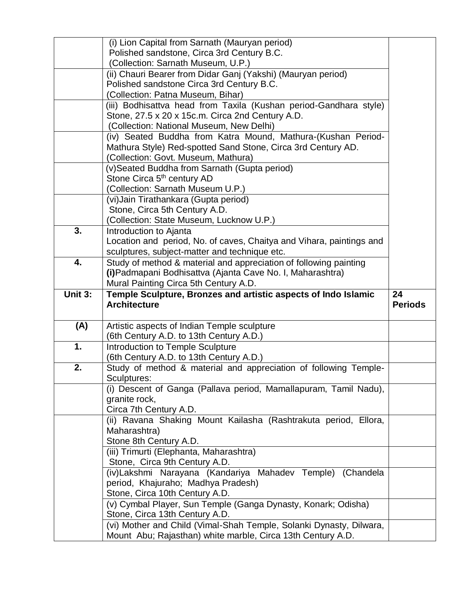|         | (i) Lion Capital from Sarnath (Mauryan period)                                                                                     |                |
|---------|------------------------------------------------------------------------------------------------------------------------------------|----------------|
|         | Polished sandstone, Circa 3rd Century B.C.                                                                                         |                |
|         | (Collection: Sarnath Museum, U.P.)                                                                                                 |                |
|         | (ii) Chauri Bearer from Didar Ganj (Yakshi) (Mauryan period)                                                                       |                |
|         | Polished sandstone Circa 3rd Century B.C.                                                                                          |                |
|         | (Collection: Patna Museum, Bihar)                                                                                                  |                |
|         | (iii) Bodhisattva head from Taxila (Kushan period-Gandhara style)<br>Stone, 27.5 x 20 x 15c.m. Circa 2nd Century A.D.              |                |
|         | (Collection: National Museum, New Delhi)                                                                                           |                |
|         | (iv) Seated Buddha from Katra Mound, Mathura-(Kushan Period-                                                                       |                |
|         | Mathura Style) Red-spotted Sand Stone, Circa 3rd Century AD.                                                                       |                |
|         | (Collection: Govt. Museum, Mathura)                                                                                                |                |
|         | (v) Seated Buddha from Sarnath (Gupta period)                                                                                      |                |
|         | Stone Circa 5 <sup>th</sup> century AD                                                                                             |                |
|         | (Collection: Sarnath Museum U.P.)                                                                                                  |                |
|         | (vi) Jain Tirathankara (Gupta period)                                                                                              |                |
|         | Stone, Circa 5th Century A.D.                                                                                                      |                |
|         | (Collection: State Museum, Lucknow U.P.)                                                                                           |                |
| 3.      | Introduction to Ajanta                                                                                                             |                |
|         | Location and period, No. of caves, Chaitya and Vihara, paintings and                                                               |                |
|         | sculptures, subject-matter and technique etc.                                                                                      |                |
| 4.      | Study of method & material and appreciation of following painting                                                                  |                |
|         | (i) Padmapani Bodhisattva (Ajanta Cave No. I, Maharashtra)                                                                         |                |
|         | Mural Painting Circa 5th Century A.D.                                                                                              |                |
|         |                                                                                                                                    |                |
| Unit 3: | Temple Sculpture, Bronzes and artistic aspects of Indo Islamic                                                                     | 24             |
|         | <b>Architecture</b>                                                                                                                | <b>Periods</b> |
|         |                                                                                                                                    |                |
| (A)     | Artistic aspects of Indian Temple sculpture<br>(6th Century A.D. to 13th Century A.D.)                                             |                |
| 1.      | Introduction to Temple Sculpture                                                                                                   |                |
|         | (6th Century A.D. to 13th Century A.D.)                                                                                            |                |
| 2.      | Study of method & material and appreciation of following Temple-                                                                   |                |
|         | Sculptures:                                                                                                                        |                |
|         | (i) Descent of Ganga (Pallava period, Mamallapuram, Tamil Nadu),                                                                   |                |
|         | granite rock,                                                                                                                      |                |
|         | Circa 7th Century A.D.                                                                                                             |                |
|         | (ii) Ravana Shaking Mount Kailasha (Rashtrakuta period, Ellora,                                                                    |                |
|         | Maharashtra)                                                                                                                       |                |
|         | Stone 8th Century A.D.                                                                                                             |                |
|         | (iii) Trimurti (Elephanta, Maharashtra)<br>Stone, Circa 9th Century A.D.                                                           |                |
|         |                                                                                                                                    |                |
|         | (iv)Lakshmi Narayana (Kandariya Mahadev Temple) (Chandela<br>period, Khajuraho; Madhya Pradesh)                                    |                |
|         | Stone, Circa 10th Century A.D.                                                                                                     |                |
|         | (v) Cymbal Player, Sun Temple (Ganga Dynasty, Konark; Odisha)                                                                      |                |
|         | Stone, Circa 13th Century A.D.                                                                                                     |                |
|         | (vi) Mother and Child (Vimal-Shah Temple, Solanki Dynasty, Dilwara,<br>Mount Abu; Rajasthan) white marble, Circa 13th Century A.D. |                |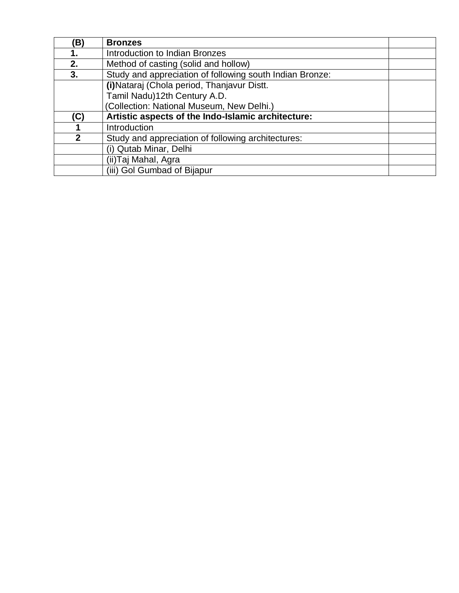| B)           | <b>Bronzes</b>                                           |  |
|--------------|----------------------------------------------------------|--|
|              | Introduction to Indian Bronzes                           |  |
| 2.           | Method of casting (solid and hollow)                     |  |
| 3.           | Study and appreciation of following south Indian Bronze: |  |
|              | (i) Nataraj (Chola period, Thanjavur Distt.              |  |
|              | Tamil Nadu)12th Century A.D.                             |  |
|              | (Collection: National Museum, New Delhi.)                |  |
| (C)          | Artistic aspects of the Indo-Islamic architecture:       |  |
|              | Introduction                                             |  |
| $\mathbf{p}$ | Study and appreciation of following architectures:       |  |
|              | (i) Qutab Minar, Delhi                                   |  |
|              | (ii)Taj Mahal, Agra                                      |  |
|              | (iii) Gol Gumbad of Bijapur                              |  |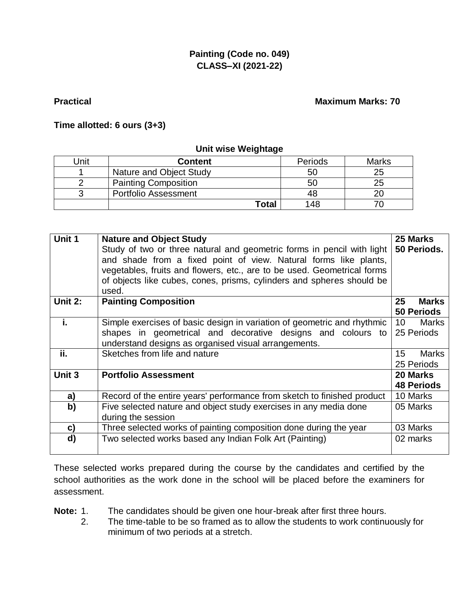### **Painting (Code no. 049) CLASS–XI (2021-22)**

#### **Practical Maximum Marks: 70**

#### **Time allotted: 6 ours (3+3)**

#### **Unit wise Weightage**

| Unit | <b>Content</b>              | Periods | <b>Marks</b> |
|------|-----------------------------|---------|--------------|
|      | Nature and Object Study     | 50      | 25           |
|      | <b>Painting Composition</b> | 50      | 25           |
|      | <b>Portfolio Assessment</b> | 48      |              |
|      | Total                       | 148     |              |

|         |                                                                                 | 25 Marks                        |  |
|---------|---------------------------------------------------------------------------------|---------------------------------|--|
| Unit 1  | <b>Nature and Object Study</b>                                                  |                                 |  |
|         | Study of two or three natural and geometric forms in pencil with light          |                                 |  |
|         | 50 Periods.<br>and shade from a fixed point of view. Natural forms like plants, |                                 |  |
|         | vegetables, fruits and flowers, etc., are to be used. Geometrical forms         |                                 |  |
|         | of objects like cubes, cones, prisms, cylinders and spheres should be           |                                 |  |
|         |                                                                                 |                                 |  |
|         | used.                                                                           |                                 |  |
| Unit 2: | <b>Painting Composition</b>                                                     | 25<br><b>Marks</b>              |  |
|         |                                                                                 | <b>50 Periods</b>               |  |
| i.      | Simple exercises of basic design in variation of geometric and rhythmic         | 10 <sup>°</sup><br><b>Marks</b> |  |
|         | shapes in geometrical and decorative designs and colours to                     | 25 Periods                      |  |
|         | understand designs as organised visual arrangements.                            |                                 |  |
| ii.     | Sketches from life and nature                                                   | 15<br><b>Marks</b>              |  |
|         |                                                                                 |                                 |  |
|         |                                                                                 | 25 Periods                      |  |
| Unit 3  | <b>Portfolio Assessment</b>                                                     | 20 Marks                        |  |
|         |                                                                                 | <b>48 Periods</b>               |  |
| a)      | Record of the entire years' performance from sketch to finished product         | 10 Marks                        |  |
| b)      | Five selected nature and object study exercises in any media done               | 05 Marks                        |  |
|         | during the session                                                              |                                 |  |
| c)      | Three selected works of painting composition done during the year               | 03 Marks                        |  |
| d)      | Two selected works based any Indian Folk Art (Painting)                         | 02 marks                        |  |
|         |                                                                                 |                                 |  |
|         |                                                                                 |                                 |  |

These selected works prepared during the course by the candidates and certified by the school authorities as the work done in the school will be placed before the examiners for assessment.

- **Note:** 1. The candidates should be given one hour-break after first three hours.
	- 2. The time-table to be so framed as to allow the students to work continuously for minimum of two periods at a stretch.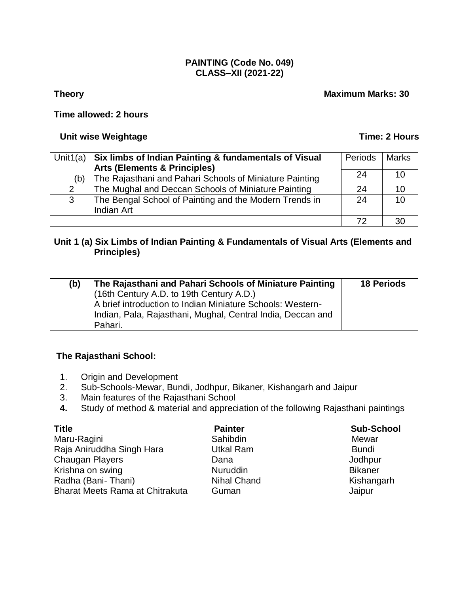#### **PAINTING (Code No. 049) CLASS–XII (2021-22)**

#### **Theory Maximum Marks: 30**

#### **Time allowed: 2 hours**

#### **Unit wise Weightage Time: 2 Hours**

|              | Unit1(a) $\vert$ Six limbs of Indian Painting & fundamentals of Visual | Periods | <b>Marks</b> |
|--------------|------------------------------------------------------------------------|---------|--------------|
|              | <b>Arts (Elements &amp; Principles)</b>                                |         |              |
| (b)          | The Rajasthani and Pahari Schools of Miniature Painting                | 24      | 10           |
| 2            | The Mughal and Deccan Schools of Miniature Painting                    | 24      | 10           |
| $\mathbf{3}$ | The Bengal School of Painting and the Modern Trends in                 | 24      | 10           |
|              | Indian Art                                                             |         |              |
|              |                                                                        |         | 30           |

#### **Unit 1 (a) Six Limbs of Indian Painting & Fundamentals of Visual Arts (Elements and Principles)**

| (b) | The Rajasthani and Pahari Schools of Miniature Painting     | <b>18 Periods</b> |
|-----|-------------------------------------------------------------|-------------------|
|     | (16th Century A.D. to 19th Century A.D.)                    |                   |
|     | A brief introduction to Indian Miniature Schools: Western-  |                   |
|     | Hndian, Pala, Rajasthani, Mughal, Central India, Deccan and |                   |
|     | Pahari.                                                     |                   |

#### **The Rajasthani School:**

- 1. Origin and Development
- 2. Sub-Schools-Mewar, Bundi, Jodhpur, Bikaner, Kishangarh and Jaipur
- 3. Main features of the Rajasthani School
- **4.** Study of method & material and appreciation of the following Rajasthani paintings

| <b>Title</b>                    | <b>Painter</b>     | <b>Sub-School</b> |
|---------------------------------|--------------------|-------------------|
| Maru-Ragini                     | Sahibdin           | Mewar             |
| Raja Aniruddha Singh Hara       | <b>Utkal Ram</b>   | <b>Bundi</b>      |
| Chaugan Players                 | Dana               | Jodhpur           |
| Krishna on swing                | <b>Nuruddin</b>    | <b>Bikaner</b>    |
| Radha (Bani-Thani)              | <b>Nihal Chand</b> | Kishangarh        |
| Bharat Meets Rama at Chitrakuta | Guman              | Jaipur            |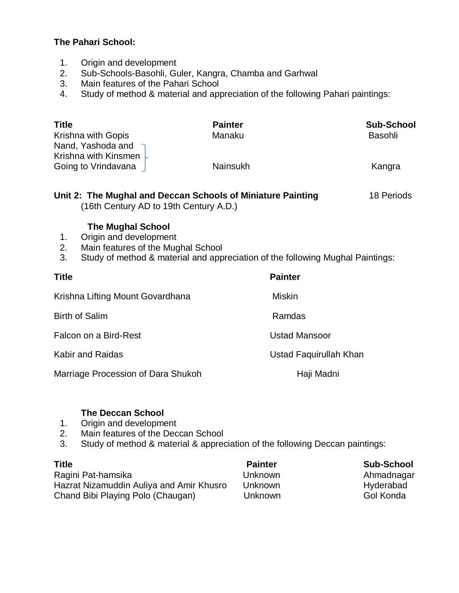#### **The Pahari School:**

- 1. Origin and development
- 2. Sub-Schools-Basohli, Guler, Kangra, Chamba and Garhwal
- 3. Main features of the Pahari School
- 4. Study of method & material and appreciation of the following Pahari paintings:

| <b>Title</b>                      | <b>Painter</b>  | <b>Sub-School</b> |
|-----------------------------------|-----------------|-------------------|
| Krishna with Gopis                | Manaku          | Basohli           |
| Nand, Yashoda and                 |                 |                   |
| Krishna with Kinsmen $\downarrow$ |                 |                   |
| Going to Vrindavana               | <b>Nainsukh</b> | Kangra            |
|                                   |                 |                   |
|                                   |                 |                   |

# **Unit 2: The Mughal and Deccan Schools of Miniature Painting** 18 Periods

(16th Century AD to 19th Century A.D.)

#### **The Mughal School**

- 1. Origin and development
- 2. Main features of the Mughal School
- 3. Study of method & material and appreciation of the following Mughal Paintings:

| <b>Title</b>                       | <b>Painter</b>         |
|------------------------------------|------------------------|
| Krishna Lifting Mount Govardhana   | <b>Miskin</b>          |
| <b>Birth of Salim</b>              | Ramdas                 |
| Falcon on a Bird-Rest              | <b>Ustad Mansoor</b>   |
| Kabir and Raidas                   | Ustad Faquirullah Khan |
| Marriage Procession of Dara Shukoh | Haji Madni             |

#### **The Deccan School**

- 1. Origin and development
- 2. Main features of the Deccan School
- 3. Study of method & material & appreciation of the following Deccan paintings:

| Ragini Pat-hamsika                       | Unknown | Ahmadnag         |
|------------------------------------------|---------|------------------|
| Hazrat Nizamuddin Auliya and Amir Khusro | Unknown | Hyderabac        |
| Chand Bibi Playing Polo (Chaugan)        | Unknown | <b>Gol Konda</b> |

**Title Painter Sub-School** Ragini Patrick Ahmadnagar Auliya and Auliya and Auliya and Auliya and Auliya and Auliya and Auliya and Amir Khusro University and Amir K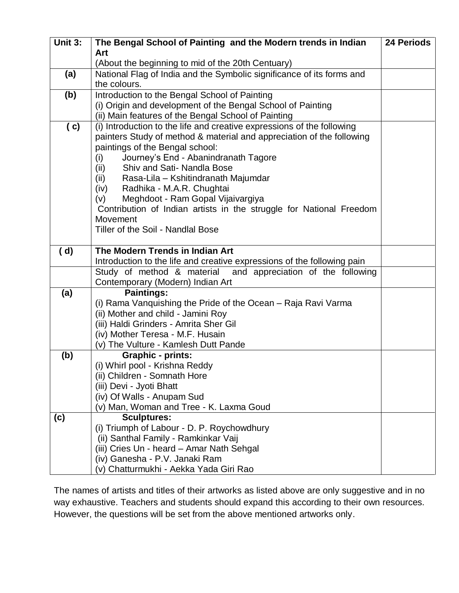| Unit 3: | The Bengal School of Painting and the Modern trends in Indian                                                                           | <b>24 Periods</b> |
|---------|-----------------------------------------------------------------------------------------------------------------------------------------|-------------------|
|         | Art                                                                                                                                     |                   |
|         | (About the beginning to mid of the 20th Centuary)                                                                                       |                   |
| (a)     | National Flag of India and the Symbolic significance of its forms and<br>the colours.                                                   |                   |
| (b)     | Introduction to the Bengal School of Painting                                                                                           |                   |
|         | (i) Origin and development of the Bengal School of Painting                                                                             |                   |
|         | (ii) Main features of the Bengal School of Painting                                                                                     |                   |
| ( c)    | (i) Introduction to the life and creative expressions of the following                                                                  |                   |
|         | painters Study of method & material and appreciation of the following                                                                   |                   |
|         | paintings of the Bengal school:                                                                                                         |                   |
|         | Journey's End - Abanindranath Tagore<br>(i)<br>Shiv and Sati- Nandla Bose                                                               |                   |
|         | (ii)<br>Rasa-Lila - Kshitindranath Majumdar<br>(ii)                                                                                     |                   |
|         | Radhika - M.A.R. Chughtai<br>(iv)                                                                                                       |                   |
|         | Meghdoot - Ram Gopal Vijaivargiya<br>(v)                                                                                                |                   |
|         | Contribution of Indian artists in the struggle for National Freedom                                                                     |                   |
|         | Movement                                                                                                                                |                   |
|         | Tiller of the Soil - Nandlal Bose                                                                                                       |                   |
|         |                                                                                                                                         |                   |
| (d)     | The Modern Trends in Indian Art                                                                                                         |                   |
|         | Introduction to the life and creative expressions of the following pain<br>Study of method & material and appreciation of the following |                   |
|         | Contemporary (Modern) Indian Art                                                                                                        |                   |
| (a)     | <b>Paintings:</b>                                                                                                                       |                   |
|         | (i) Rama Vanquishing the Pride of the Ocean - Raja Ravi Varma                                                                           |                   |
|         | (ii) Mother and child - Jamini Roy                                                                                                      |                   |
|         | (iii) Haldi Grinders - Amrita Sher Gil                                                                                                  |                   |
|         | (iv) Mother Teresa - M.F. Husain                                                                                                        |                   |
|         | (v) The Vulture - Kamlesh Dutt Pande                                                                                                    |                   |
| (b)     | <b>Graphic - prints:</b>                                                                                                                |                   |
|         | (i) Whirl pool - Krishna Reddy                                                                                                          |                   |
|         | (ii) Children - Somnath Hore                                                                                                            |                   |
|         | (iii) Devi - Jyoti Bhatt<br>(iv) Of Walls - Anupam Sud                                                                                  |                   |
|         | (v) Man, Woman and Tree - K. Laxma Goud                                                                                                 |                   |
| (c)     | <b>Sculptures:</b>                                                                                                                      |                   |
|         | (i) Triumph of Labour - D. P. Roychowdhury                                                                                              |                   |
|         | (ii) Santhal Family - Ramkinkar Vaij                                                                                                    |                   |
|         | (iii) Cries Un - heard - Amar Nath Sehgal                                                                                               |                   |
|         | (iv) Ganesha - P.V. Janaki Ram                                                                                                          |                   |
|         | (v) Chatturmukhi - Aekka Yada Giri Rao                                                                                                  |                   |

The names of artists and titles of their artworks as listed above are only suggestive and in no way exhaustive. Teachers and students should expand this according to their own resources. However, the questions will be set from the above mentioned artworks only.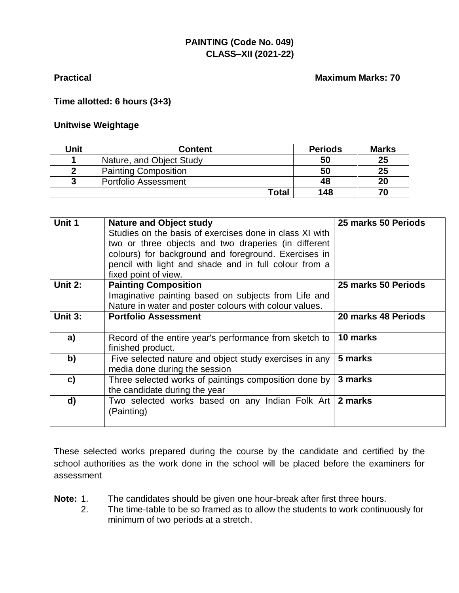#### **PAINTING (Code No. 049) CLASS–XII (2021-22)**

#### **Practical Maximum Marks: 70**

#### **Time allotted: 6 hours (3+3)**

#### **Unitwise Weightage**

| Unit | <b>Content</b>              | <b>Periods</b> | <b>Marks</b> |
|------|-----------------------------|----------------|--------------|
|      | Nature, and Object Study    | 50             | 25           |
|      | <b>Painting Composition</b> | 50             | 25           |
|      | <b>Portfolio Assessment</b> | 48             | 20           |
|      | Total                       | 148            | 70           |

| Unit 1  | <b>Nature and Object study</b>                          | 25 marks 50 Periods |
|---------|---------------------------------------------------------|---------------------|
|         | Studies on the basis of exercises done in class XI with |                     |
|         | two or three objects and two draperies (in different    |                     |
|         | colours) for background and foreground. Exercises in    |                     |
|         | pencil with light and shade and in full colour from a   |                     |
|         | fixed point of view.                                    |                     |
| Unit 2: | <b>Painting Composition</b>                             | 25 marks 50 Periods |
|         | Imaginative painting based on subjects from Life and    |                     |
|         | Nature in water and poster colours with colour values.  |                     |
| Unit 3: | <b>Portfolio Assessment</b>                             | 20 marks 48 Periods |
|         |                                                         |                     |
| a)      | Record of the entire year's performance from sketch to  | 10 marks            |
|         | finished product.                                       |                     |
| b)      | Five selected nature and object study exercises in any  | 5 marks             |
|         | media done during the session                           |                     |
| c)      | Three selected works of paintings composition done by   | 3 marks             |
|         | the candidate during the year                           |                     |
| d)      | Two selected works based on any Indian Folk Art 2 marks |                     |
|         | (Painting)                                              |                     |
|         |                                                         |                     |

These selected works prepared during the course by the candidate and certified by the school authorities as the work done in the school will be placed before the examiners for assessment

- **Note:** 1. The candidates should be given one hour-break after first three hours.
	- 2. The time-table to be so framed as to allow the students to work continuously for minimum of two periods at a stretch.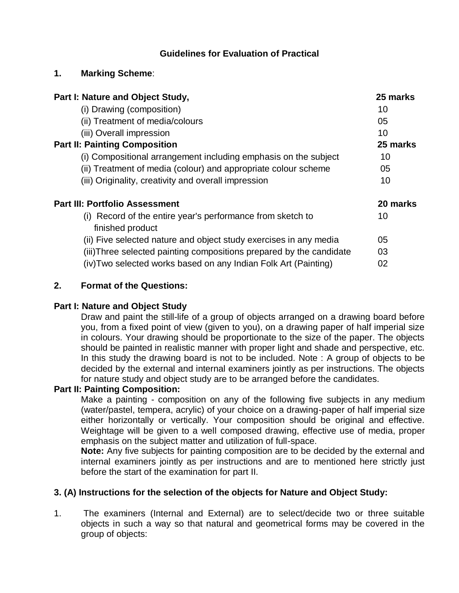#### **Guidelines for Evaluation of Practical**

#### **1. Marking Scheme**:

| Part I: Nature and Object Study,                                               | 25 marks |
|--------------------------------------------------------------------------------|----------|
| (i) Drawing (composition)                                                      | 10       |
| (ii) Treatment of media/colours                                                | 05       |
| (iii) Overall impression                                                       | 10       |
| <b>Part II: Painting Composition</b>                                           | 25 marks |
| (i) Compositional arrangement including emphasis on the subject                | 10       |
| (ii) Treatment of media (colour) and appropriate colour scheme                 | 05       |
| (iii) Originality, creativity and overall impression                           | 10       |
| <b>Part III: Portfolio Assessment</b>                                          | 20 marks |
| (i) Record of the entire year's performance from sketch to<br>finished product | 10       |
| (ii) Five selected nature and object study exercises in any media              | 05       |
| (iii) Three selected painting compositions prepared by the candidate           | 03       |
| (iv) Two selected works based on any Indian Folk Art (Painting)                | 02       |

#### **2. Format of the Questions:**

#### **Part I: Nature and Object Study**

Draw and paint the still-life of a group of objects arranged on a drawing board before you, from a fixed point of view (given to you), on a drawing paper of half imperial size in colours. Your drawing should be proportionate to the size of the paper. The objects should be painted in realistic manner with proper light and shade and perspective, etc. In this study the drawing board is not to be included. Note : A group of objects to be decided by the external and internal examiners jointly as per instructions. The objects for nature study and object study are to be arranged before the candidates.

#### **Part II: Painting Composition:**

Make a painting - composition on any of the following five subjects in any medium (water/pastel, tempera, acrylic) of your choice on a drawing-paper of half imperial size either horizontally or vertically. Your composition should be original and effective. Weightage will be given to a well composed drawing, effective use of media, proper emphasis on the subject matter and utilization of full-space.

**Note:** Any five subjects for painting composition are to be decided by the external and internal examiners jointly as per instructions and are to mentioned here strictly just before the start of the examination for part II.

#### **3. (A) Instructions for the selection of the objects for Nature and Object Study:**

1. The examiners (Internal and External) are to select/decide two or three suitable objects in such a way so that natural and geometrical forms may be covered in the group of objects: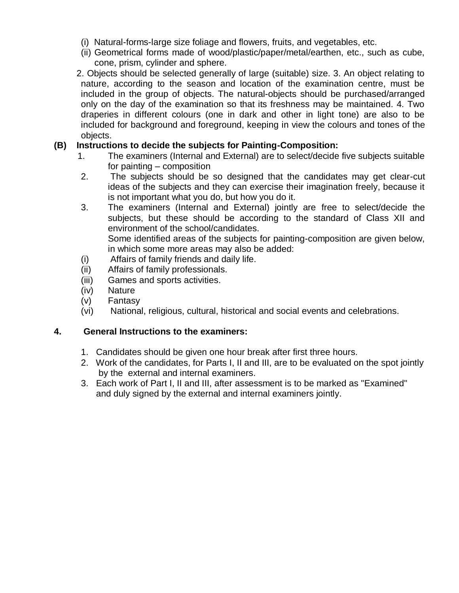- (i) Natural-forms-large size foliage and flowers, fruits, and vegetables, etc.
- (ii) Geometrical forms made of wood/plastic/paper/metal/earthen, etc., such as cube, cone, prism, cylinder and sphere.
- 2. Objects should be selected generally of large (suitable) size. 3. An object relating to nature, according to the season and location of the examination centre, must be included in the group of objects. The natural-objects should be purchased/arranged only on the day of the examination so that its freshness may be maintained. 4. Two draperies in different colours (one in dark and other in light tone) are also to be included for background and foreground, keeping in view the colours and tones of the objects.

#### **(B) Instructions to decide the subjects for Painting-Composition:**

- 1. The examiners (Internal and External) are to select/decide five subjects suitable for painting – composition
- 2. The subjects should be so designed that the candidates may get clear-cut ideas of the subjects and they can exercise their imagination freely, because it is not important what you do, but how you do it.
- 3. The examiners (Internal and External) jointly are free to select/decide the subjects, but these should be according to the standard of Class XII and environment of the school/candidates. Some identified areas of the subjects for painting-composition are given below,

in which some more areas may also be added:

- (i) Affairs of family friends and daily life.
- (ii) Affairs of family professionals.
- (iii) Games and sports activities.
- (iv) Nature
- (v) Fantasy
- (vi) National, religious, cultural, historical and social events and celebrations.

#### **4. General Instructions to the examiners:**

- 1. Candidates should be given one hour break after first three hours.
- 2. Work of the candidates, for Parts I, II and III, are to be evaluated on the spot jointly by the external and internal examiners.
- 3. Each work of Part I, II and III, after assessment is to be marked as "Examined" and duly signed by the external and internal examiners jointly.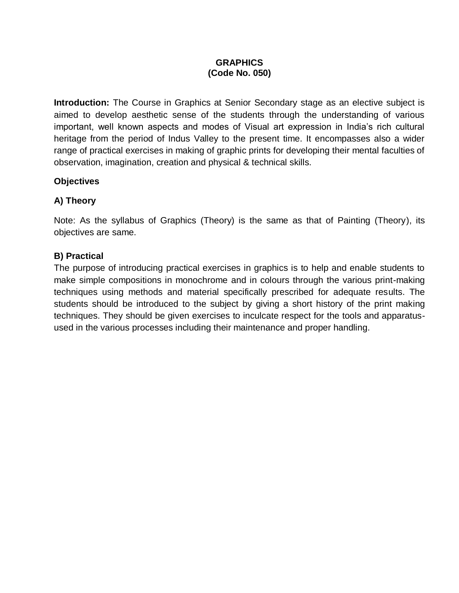#### **GRAPHICS (Code No. 050)**

**Introduction:** The Course in Graphics at Senior Secondary stage as an elective subject is aimed to develop aesthetic sense of the students through the understanding of various important, well known aspects and modes of Visual art expression in India's rich cultural heritage from the period of Indus Valley to the present time. It encompasses also a wider range of practical exercises in making of graphic prints for developing their mental faculties of observation, imagination, creation and physical & technical skills.

#### **Objectives**

#### **A) Theory**

Note: As the syllabus of Graphics (Theory) is the same as that of Painting (Theory), its objectives are same.

#### **B) Practical**

The purpose of introducing practical exercises in graphics is to help and enable students to make simple compositions in monochrome and in colours through the various print-making techniques using methods and material specifically prescribed for adequate results. The students should be introduced to the subject by giving a short history of the print making techniques. They should be given exercises to inculcate respect for the tools and apparatusused in the various processes including their maintenance and proper handling.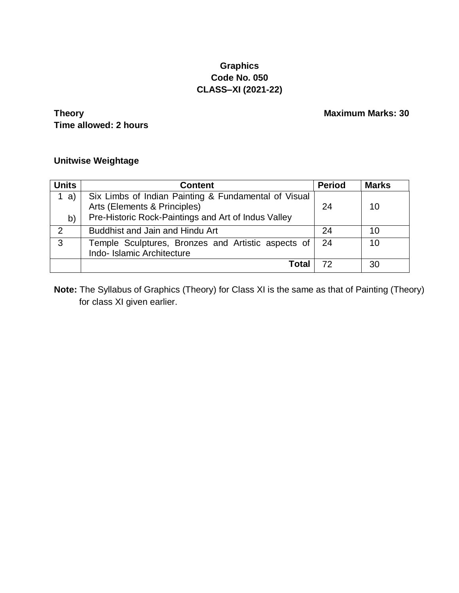#### **Graphics Code No. 050 CLASS–XI (2021-22)**

**Theory Maximum Marks: 30 Time allowed: 2 hours**

#### **Unitwise Weightage**

| <b>Units</b>  | <b>Content</b>                                                                                                                              | <b>Period</b> | <b>Marks</b> |
|---------------|---------------------------------------------------------------------------------------------------------------------------------------------|---------------|--------------|
| a)<br>b)      | Six Limbs of Indian Painting & Fundamental of Visual<br>Arts (Elements & Principles)<br>Pre-Historic Rock-Paintings and Art of Indus Valley | 24            | 10           |
| $\mathcal{P}$ | <b>Buddhist and Jain and Hindu Art</b>                                                                                                      | 24            | 10           |
| 3             | Temple Sculptures, Bronzes and Artistic aspects of<br>Indo-Islamic Architecture                                                             | 24            | 10           |
|               | Total                                                                                                                                       | 72            | 30           |

**Note:** The Syllabus of Graphics (Theory) for Class XI is the same as that of Painting (Theory) for class XI given earlier.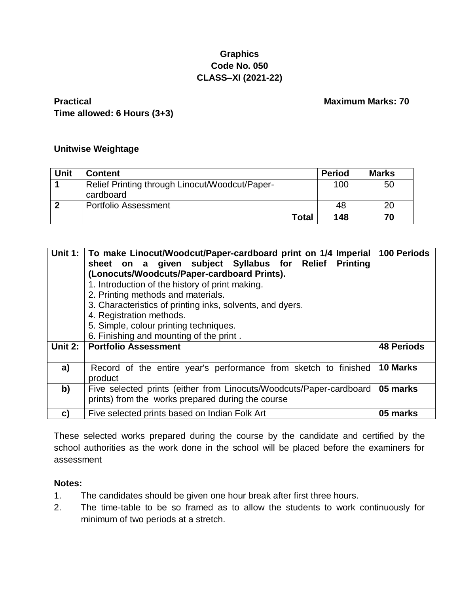#### **Graphics Code No. 050 CLASS–XI (2021-22)**

#### **Practical Maximum Marks: 70 Time allowed: 6 Hours (3+3)**

#### **Unitwise Weightage**

| Unit | <b>Content</b>                                 | <b>Period</b> | <b>Marks</b> |
|------|------------------------------------------------|---------------|--------------|
|      | Relief Printing through Linocut/Woodcut/Paper- | 100           | 50           |
|      | cardboard                                      |               |              |
|      | Portfolio Assessment                           | 48            | 20           |
|      | Total                                          | 148           | 70           |

| <b>Unit 1:</b> | To make Linocut/Woodcut/Paper-cardboard print on 1/4 Imperial  <br>sheet on a given subject Syllabus for Relief Printing<br>(Lonocuts/Woodcuts/Paper-cardboard Prints).<br>1. Introduction of the history of print making.<br>2. Printing methods and materials.<br>3. Characteristics of printing inks, solvents, and dyers.<br>4. Registration methods.<br>5. Simple, colour printing techniques.<br>6. Finishing and mounting of the print. | <b>100 Periods</b> |
|----------------|------------------------------------------------------------------------------------------------------------------------------------------------------------------------------------------------------------------------------------------------------------------------------------------------------------------------------------------------------------------------------------------------------------------------------------------------|--------------------|
| Unit 2:        | <b>Portfolio Assessment</b>                                                                                                                                                                                                                                                                                                                                                                                                                    | <b>48 Periods</b>  |
| a)             | Record of the entire year's performance from sketch to finished<br>product                                                                                                                                                                                                                                                                                                                                                                     | 10 Marks           |
| b)             | Five selected prints (either from Linocuts/Woodcuts/Paper-cardboard<br>prints) from the works prepared during the course                                                                                                                                                                                                                                                                                                                       | 05 marks           |
| C)             | Five selected prints based on Indian Folk Art                                                                                                                                                                                                                                                                                                                                                                                                  | 05 marks           |

These selected works prepared during the course by the candidate and certified by the school authorities as the work done in the school will be placed before the examiners for assessment

#### **Notes:**

- 1. The candidates should be given one hour break after first three hours.
- 2. The time-table to be so framed as to allow the students to work continuously for minimum of two periods at a stretch.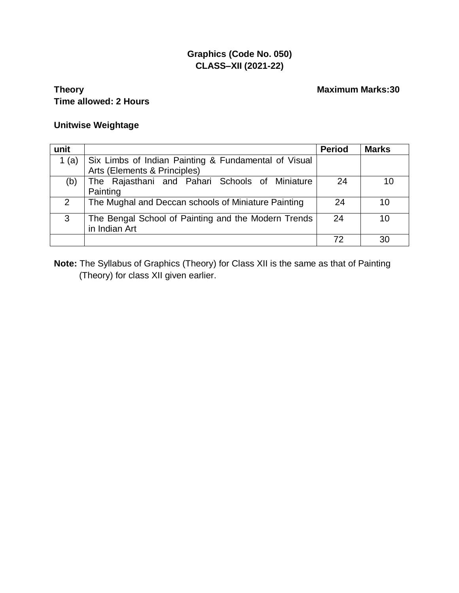### **Graphics (Code No. 050) CLASS–XII (2021-22)**

#### **Theory Maximum Marks:30 Time allowed: 2 Hours**

#### **Unitwise Weightage**

| unit     |                                                                                      | <b>Period</b> | <b>Marks</b> |
|----------|--------------------------------------------------------------------------------------|---------------|--------------|
| 1<br>(a) | Six Limbs of Indian Painting & Fundamental of Visual<br>Arts (Elements & Principles) |               |              |
| (b)      | The Rajasthani and Pahari Schools of Miniature<br>Painting                           | 24            | 10           |
| 2        | The Mughal and Deccan schools of Miniature Painting                                  | 24            | 10           |
| 3        | The Bengal School of Painting and the Modern Trends<br>in Indian Art                 | 24            | 10           |
|          |                                                                                      | 72            | 30           |

**Note:** The Syllabus of Graphics (Theory) for Class XII is the same as that of Painting (Theory) for class XII given earlier.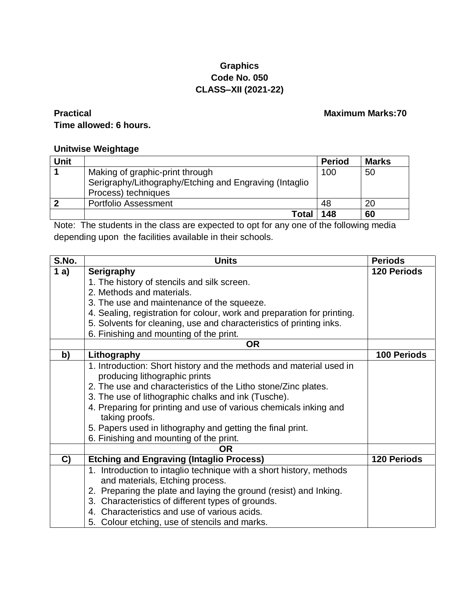#### **Graphics Code No. 050 CLASS–XII (2021-22)**

### **Practical Maximum Marks:70 Time allowed: 6 hours.**

#### **Unitwise Weightage**

| Unit |                                                        | <b>Period</b> | <b>Marks</b> |
|------|--------------------------------------------------------|---------------|--------------|
|      | Making of graphic-print through                        | 100           | 50           |
|      | Serigraphy/Lithography/Etching and Engraving (Intaglio |               |              |
|      | Process) techniques                                    |               |              |
|      | <b>Portfolio Assessment</b>                            | 48            | 20           |
|      | <b>Total</b>                                           | 148           | 60           |

Note: The students in the class are expected to opt for any one of the following media depending upon the facilities available in their schools.

| S.No. | <b>Units</b>                                                            | <b>Periods</b>     |
|-------|-------------------------------------------------------------------------|--------------------|
| 1a)   | <b>Serigraphy</b>                                                       | <b>120 Periods</b> |
|       | 1. The history of stencils and silk screen.                             |                    |
|       | 2. Methods and materials.                                               |                    |
|       | 3. The use and maintenance of the squeeze.                              |                    |
|       | 4. Sealing, registration for colour, work and preparation for printing. |                    |
|       | 5. Solvents for cleaning, use and characteristics of printing inks.     |                    |
|       | 6. Finishing and mounting of the print.                                 |                    |
|       | <b>OR</b>                                                               |                    |
| b)    | Lithography                                                             | <b>100 Periods</b> |
|       | 1. Introduction: Short history and the methods and material used in     |                    |
|       | producing lithographic prints                                           |                    |
|       | 2. The use and characteristics of the Litho stone/Zinc plates.          |                    |
|       | 3. The use of lithographic chalks and ink (Tusche).                     |                    |
|       | 4. Preparing for printing and use of various chemicals inking and       |                    |
|       | taking proofs.                                                          |                    |
|       | 5. Papers used in lithography and getting the final print.              |                    |
|       | 6. Finishing and mounting of the print.                                 |                    |
|       | <b>OR</b>                                                               |                    |
| C)    | <b>Etching and Engraving (Intaglio Process)</b>                         | <b>120 Periods</b> |
|       | 1. Introduction to intaglio technique with a short history, methods     |                    |
|       | and materials, Etching process.                                         |                    |
|       | 2. Preparing the plate and laying the ground (resist) and Inking.       |                    |
|       | 3. Characteristics of different types of grounds.                       |                    |
|       | 4. Characteristics and use of various acids.                            |                    |
|       | 5. Colour etching, use of stencils and marks.                           |                    |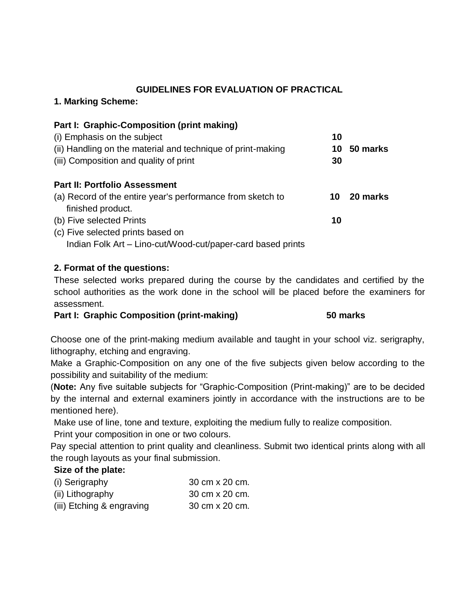#### **GUIDELINES FOR EVALUATION OF PRACTICAL**

#### **1. Marking Scheme:**

| Part I: Graphic-Composition (print making)                  |    |          |
|-------------------------------------------------------------|----|----------|
| (i) Emphasis on the subject                                 | 10 |          |
| (ii) Handling on the material and technique of print-making | 10 | 50 marks |
| (iii) Composition and quality of print                      | 30 |          |
| <b>Part II: Portfolio Assessment</b>                        |    |          |
| (a) Record of the entire year's performance from sketch to  | 10 | 20 marks |
| finished product.                                           |    |          |
| (b) Five selected Prints                                    | 10 |          |
| (c) Five selected prints based on                           |    |          |
| Indian Folk Art - Lino-cut/Wood-cut/paper-card based prints |    |          |

#### **2. Format of the questions:**

These selected works prepared during the course by the candidates and certified by the school authorities as the work done in the school will be placed before the examiners for assessment.

#### **Part I: Graphic Composition (print-making) 50 marks**

Choose one of the print-making medium available and taught in your school viz. serigraphy, lithography, etching and engraving.

Make a Graphic-Composition on any one of the five subjects given below according to the possibility and suitability of the medium:

(**Note:** Any five suitable subjects for "Graphic-Composition (Print-making)" are to be decided by the internal and external examiners jointly in accordance with the instructions are to be mentioned here).

Make use of line, tone and texture, exploiting the medium fully to realize composition.

Print your composition in one or two colours.

Pay special attention to print quality and cleanliness. Submit two identical prints along with all the rough layouts as your final submission.

#### **Size of the plate:**

| (i) Serigraphy            | 30 cm x 20 cm. |
|---------------------------|----------------|
| (ii) Lithography          | 30 cm x 20 cm. |
| (iii) Etching & engraving | 30 cm x 20 cm. |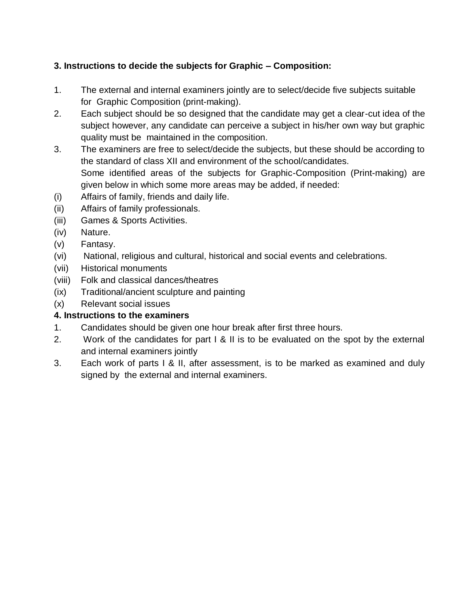### **3. Instructions to decide the subjects for Graphic – Composition:**

- 1. The external and internal examiners jointly are to select/decide five subjects suitable for Graphic Composition (print-making).
- 2. Each subject should be so designed that the candidate may get a clear-cut idea of the subject however, any candidate can perceive a subject in his/her own way but graphic quality must be maintained in the composition.
- 3. The examiners are free to select/decide the subjects, but these should be according to the standard of class XII and environment of the school/candidates. Some identified areas of the subjects for Graphic-Composition (Print-making) are given below in which some more areas may be added, if needed:
- (i) Affairs of family, friends and daily life.
- (ii) Affairs of family professionals.
- (iii) Games & Sports Activities.
- (iv) Nature.
- (v) Fantasy.
- (vi) National, religious and cultural, historical and social events and celebrations.
- (vii) Historical monuments
- (viii) Folk and classical dances/theatres
- (ix) Traditional/ancient sculpture and painting
- (x) Relevant social issues

#### **4. Instructions to the examiners**

- 1. Candidates should be given one hour break after first three hours.
- 2. Work of the candidates for part I & II is to be evaluated on the spot by the external and internal examiners jointly
- 3. Each work of parts I & II, after assessment, is to be marked as examined and duly signed by the external and internal examiners.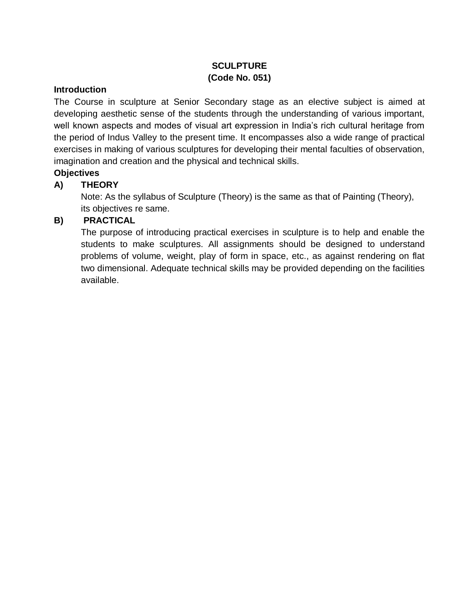### **SCULPTURE (Code No. 051)**

#### **Introduction**

The Course in sculpture at Senior Secondary stage as an elective subject is aimed at developing aesthetic sense of the students through the understanding of various important, well known aspects and modes of visual art expression in India's rich cultural heritage from the period of Indus Valley to the present time. It encompasses also a wide range of practical exercises in making of various sculptures for developing their mental faculties of observation, imagination and creation and the physical and technical skills.

#### **Objectives**

#### **A) THEORY**

Note: As the syllabus of Sculpture (Theory) is the same as that of Painting (Theory), its objectives re same.

#### **B) PRACTICAL**

The purpose of introducing practical exercises in sculpture is to help and enable the students to make sculptures. All assignments should be designed to understand problems of volume, weight, play of form in space, etc., as against rendering on flat two dimensional. Adequate technical skills may be provided depending on the facilities available.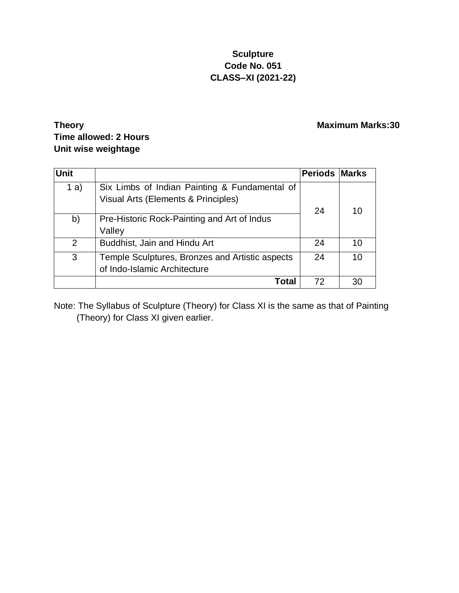### **Sculpture Code No. 051 CLASS–XI (2021-22)**

### **Theory Maximum Marks:30 Time allowed: 2 Hours Unit wise weightage**

| <b>Unit</b> |                                                                                      | <b>Periods Marks</b> |    |
|-------------|--------------------------------------------------------------------------------------|----------------------|----|
| 1 a)        | Six Limbs of Indian Painting & Fundamental of<br>Visual Arts (Elements & Principles) | 24                   | 10 |
| b)          | Pre-Historic Rock-Painting and Art of Indus<br>Valley                                |                      |    |
| 2           | Buddhist, Jain and Hindu Art                                                         | 24                   | 10 |
| 3           | Temple Sculptures, Bronzes and Artistic aspects<br>of Indo-Islamic Architecture      | 24                   | 10 |
|             | Total                                                                                | 72                   | 30 |

Note: The Syllabus of Sculpture (Theory) for Class XI is the same as that of Painting (Theory) for Class XI given earlier.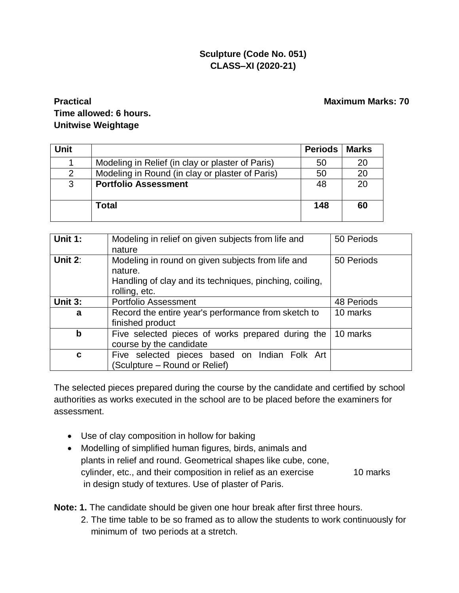### **Sculpture (Code No. 051) CLASS–XI (2020-21)**

### **Practical Maximum Marks: 70 Time allowed: 6 hours. Unitwise Weightage**

| <b>Unit</b> |                                                  | <b>Periods</b> | <b>Marks</b> |
|-------------|--------------------------------------------------|----------------|--------------|
|             | Modeling in Relief (in clay or plaster of Paris) | 50             | 20           |
| 2           | Modeling in Round (in clay or plaster of Paris)  | 50             | 20           |
| 3           | <b>Portfolio Assessment</b>                      | 48             | 20           |
|             |                                                  |                |              |
|             | Total                                            | 148            | 60           |

| Unit 1:    | Modeling in relief on given subjects from life and      | 50 Periods |
|------------|---------------------------------------------------------|------------|
|            | nature                                                  |            |
| Unit $2$ : | Modeling in round on given subjects from life and       | 50 Periods |
|            | nature.                                                 |            |
|            | Handling of clay and its techniques, pinching, coiling, |            |
|            | rolling, etc.                                           |            |
| Unit 3:    | <b>Portfolio Assessment</b>                             | 48 Periods |
| a          | Record the entire year's performance from sketch to     | 10 marks   |
|            | finished product                                        |            |
| b          | Five selected pieces of works prepared during the       | 10 marks   |
|            | course by the candidate                                 |            |
| C          | Five selected pieces based on Indian Folk Art           |            |
|            | (Sculpture – Round or Relief)                           |            |

The selected pieces prepared during the course by the candidate and certified by school authorities as works executed in the school are to be placed before the examiners for assessment.

- Use of clay composition in hollow for baking
- Modelling of simplified human figures, birds, animals and plants in relief and round. Geometrical shapes like cube, cone, cylinder, etc., and their composition in relief as an exercise 10 marks in design study of textures. Use of plaster of Paris.

**Note: 1.** The candidate should be given one hour break after first three hours.

2. The time table to be so framed as to allow the students to work continuously for minimum of two periods at a stretch.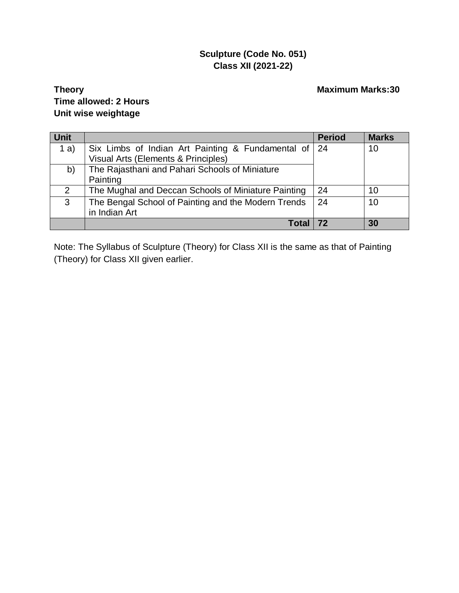### **Sculpture (Code No. 051) Class XII (2021-22)**

### **Theory Maximum Marks:30 Time allowed: 2 Hours Unit wise weightage**

| <b>Unit</b> |                                                     | <b>Period</b> | <b>Marks</b> |
|-------------|-----------------------------------------------------|---------------|--------------|
| a)          | Six Limbs of Indian Art Painting & Fundamental of   | $\vert$ 24    | 10           |
|             | Visual Arts (Elements & Principles)                 |               |              |
| b)          | The Rajasthani and Pahari Schools of Miniature      |               |              |
|             | Painting                                            |               |              |
| 2           | The Mughal and Deccan Schools of Miniature Painting | 24            | 10           |
| 3           | The Bengal School of Painting and the Modern Trends | -24           | 10           |
|             | in Indian Art                                       |               |              |
|             |                                                     |               | 30           |

Note: The Syllabus of Sculpture (Theory) for Class XII is the same as that of Painting (Theory) for Class XII given earlier.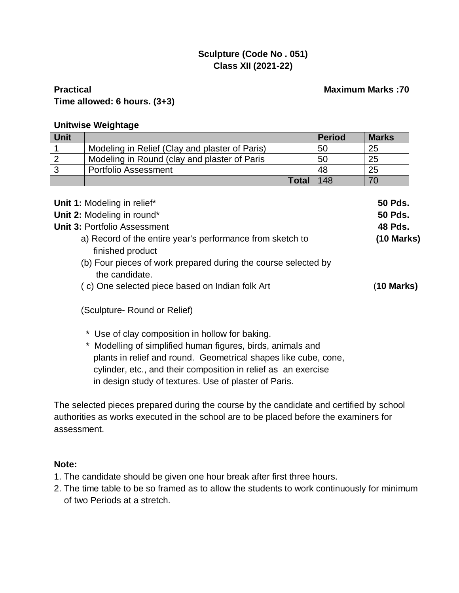### **Sculpture (Code No . 051) Class XII (2021-22)**

#### **Practical Maximum Marks :70 Time allowed: 6 hours. (3+3)**

#### **Unitwise Weightage**

| <b>Unit</b>                                                                                                                                     |                                                                                                  | <b>Period</b> | <b>Marks</b>                                       |
|-------------------------------------------------------------------------------------------------------------------------------------------------|--------------------------------------------------------------------------------------------------|---------------|----------------------------------------------------|
|                                                                                                                                                 | Modeling in Relief (Clay and plaster of Paris)                                                   | 50            | 25                                                 |
| $\overline{2}$                                                                                                                                  | Modeling in Round (clay and plaster of Paris                                                     | 50            | 25                                                 |
| 3                                                                                                                                               | <b>Portfolio Assessment</b>                                                                      | 48            | 25                                                 |
|                                                                                                                                                 | <b>Total</b>                                                                                     | 148           | 70                                                 |
|                                                                                                                                                 | Unit 1: Modeling in relief*<br>Unit 2: Modeling in round*<br><b>Unit 3: Portfolio Assessment</b> |               | <b>50 Pds.</b><br><b>50 Pds.</b><br><b>48 Pds.</b> |
| a) Record of the entire year's performance from sketch to<br>finished product<br>(b) Four pieces of work prepared during the course selected by |                                                                                                  | $(10$ Marks)  |                                                    |
|                                                                                                                                                 | the candidate.<br>(c) One selected piece based on Indian folk Art                                |               | (10 Marks)                                         |
|                                                                                                                                                 | (Sculpture- Round or Relief)                                                                     |               |                                                    |

- \* Use of clay composition in hollow for baking.
- \* Modelling of simplified human figures, birds, animals and plants in relief and round. Geometrical shapes like cube, cone, cylinder, etc., and their composition in relief as an exercise in design study of textures. Use of plaster of Paris.

The selected pieces prepared during the course by the candidate and certified by school authorities as works executed in the school are to be placed before the examiners for assessment.

#### **Note:**

- 1. The candidate should be given one hour break after first three hours.
- 2. The time table to be so framed as to allow the students to work continuously for minimum of two Periods at a stretch.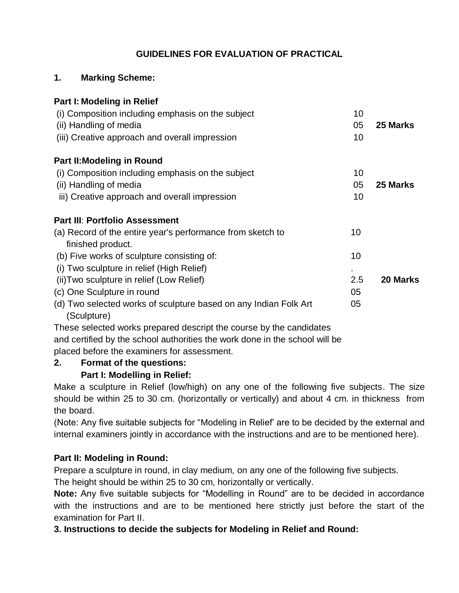### **GUIDELINES FOR EVALUATION OF PRACTICAL**

#### **1. Marking Scheme:**

| Part I: Modeling in Relief                                                      |     |          |
|---------------------------------------------------------------------------------|-----|----------|
| (i) Composition including emphasis on the subject                               | 10  |          |
| (ii) Handling of media                                                          | 05  | 25 Marks |
| (iii) Creative approach and overall impression                                  | 10  |          |
| <b>Part II: Modeling in Round</b>                                               |     |          |
| (i) Composition including emphasis on the subject                               | 10  |          |
| (ii) Handling of media                                                          | 05  | 25 Marks |
| iii) Creative approach and overall impression                                   | 10  |          |
| <b>Part III: Portfolio Assessment</b>                                           |     |          |
| (a) Record of the entire year's performance from sketch to<br>finished product. | 10  |          |
| (b) Five works of sculpture consisting of:                                      | 10  |          |
| (i) Two sculpture in relief (High Relief)                                       |     |          |
| (ii) Two sculpture in relief (Low Relief)                                       | 2.5 | 20 Marks |
| (c) One Sculpture in round                                                      | 05  |          |
| (d) Two selected works of sculpture based on any Indian Folk Art<br>(Sculpture) | 05  |          |

These selected works prepared descript the course by the candidates and certified by the school authorities the work done in the school will be placed before the examiners for assessment.

## **2. Format of the questions: Part I: Modelling in Relief:**

Make a sculpture in Relief (low/high) on any one of the following five subjects. The size should be within 25 to 30 cm. (horizontally or vertically) and about 4 cm. in thickness from the board.

(Note: Any five suitable subjects for "Modeling in Relief' are to be decided by the external and internal examiners jointly in accordance with the instructions and are to be mentioned here).

### **Part II: Modeling in Round:**

Prepare a sculpture in round, in clay medium, on any one of the following five subjects.

The height should be within 25 to 30 cm, horizontally or vertically.

**Note:** Any five suitable subjects for "Modelling in Round" are to be decided in accordance with the instructions and are to be mentioned here strictly just before the start of the examination for Part II.

**3. Instructions to decide the subjects for Modeling in Relief and Round:**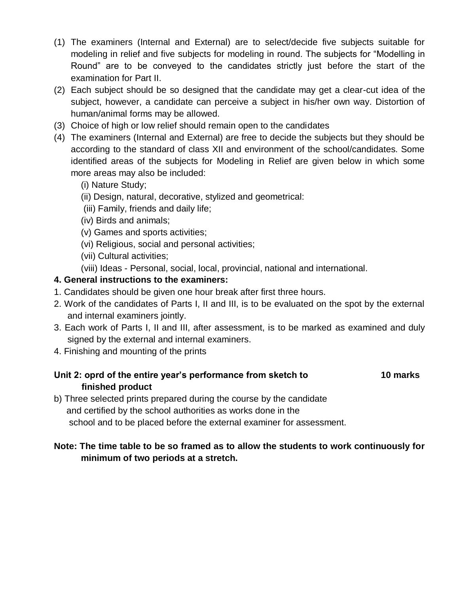- (1) The examiners (Internal and External) are to select/decide five subjects suitable for modeling in relief and five subjects for modeling in round. The subjects for "Modelling in Round" are to be conveyed to the candidates strictly just before the start of the examination for Part II.
- (2) Each subject should be so designed that the candidate may get a clear-cut idea of the subject, however, a candidate can perceive a subject in his/her own way. Distortion of human/animal forms may be allowed.
- (3) Choice of high or low relief should remain open to the candidates
- (4) The examiners (Internal and External) are free to decide the subjects but they should be according to the standard of class XII and environment of the school/candidates. Some identified areas of the subjects for Modeling in Relief are given below in which some more areas may also be included:
	- (i) Nature Study;
	- (ii) Design, natural, decorative, stylized and geometrical:
	- (iii) Family, friends and daily life;
	- (iv) Birds and animals;
	- (v) Games and sports activities;
	- (vi) Religious, social and personal activities;
	- (vii) Cultural activities;
	- (viii) Ideas Personal, social, local, provincial, national and international.

#### **4. General instructions to the examiners:**

- 1. Candidates should be given one hour break after first three hours.
- 2. Work of the candidates of Parts I, II and III, is to be evaluated on the spot by the external and internal examiners jointly.
- 3. Each work of Parts I, II and III, after assessment, is to be marked as examined and duly signed by the external and internal examiners.
- 4. Finishing and mounting of the prints

### **Unit 2: oprd of the entire year's performance from sketch to 10 marks finished product**

b) Three selected prints prepared during the course by the candidate and certified by the school authorities as works done in the school and to be placed before the external examiner for assessment.

#### **Note: The time table to be so framed as to allow the students to work continuously for minimum of two periods at a stretch.**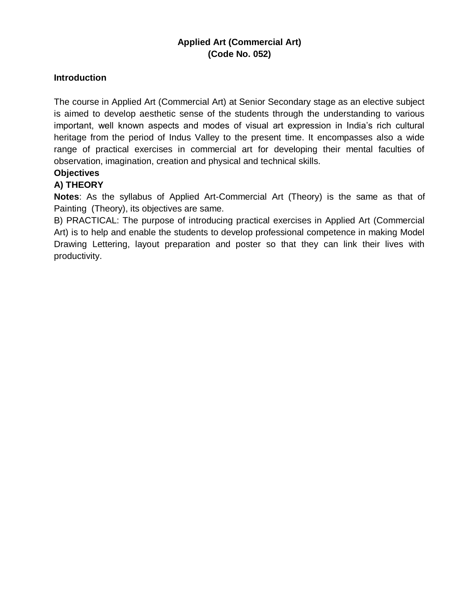#### **Applied Art (Commercial Art) (Code No. 052)**

#### **Introduction**

The course in Applied Art (Commercial Art) at Senior Secondary stage as an elective subject is aimed to develop aesthetic sense of the students through the understanding to various important, well known aspects and modes of visual art expression in India's rich cultural heritage from the period of Indus Valley to the present time. It encompasses also a wide range of practical exercises in commercial art for developing their mental faculties of observation, imagination, creation and physical and technical skills.

#### **Objectives**

#### **A) THEORY**

**Notes**: As the syllabus of Applied Art-Commercial Art (Theory) is the same as that of Painting (Theory), its objectives are same.

B) PRACTICAL: The purpose of introducing practical exercises in Applied Art (Commercial Art) is to help and enable the students to develop professional competence in making Model Drawing Lettering, layout preparation and poster so that they can link their lives with productivity.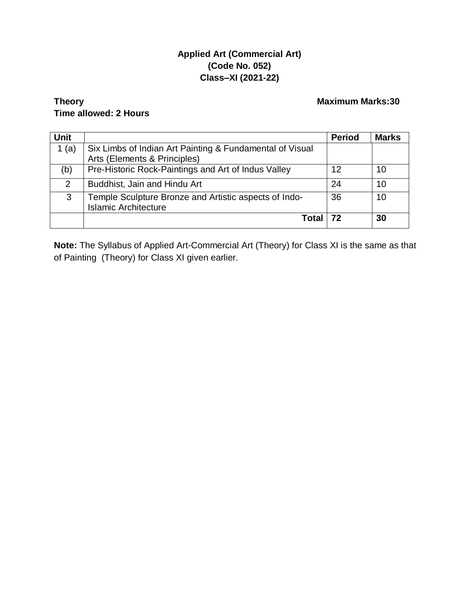#### **Applied Art (Commercial Art) (Code No. 052) Class–XI (2021-22)**

#### **Theory Maximum Marks:30 Time allowed: 2 Hours**

| <b>Unit</b> |                                                                                          | <b>Period</b> | <b>Marks</b> |
|-------------|------------------------------------------------------------------------------------------|---------------|--------------|
| 1 $(a)$     | Six Limbs of Indian Art Painting & Fundamental of Visual<br>Arts (Elements & Principles) |               |              |
| (b)         | Pre-Historic Rock-Paintings and Art of Indus Valley                                      | 12            | 10           |
| 2           | Buddhist, Jain and Hindu Art                                                             | 24            | 10           |
| 3           | Temple Sculpture Bronze and Artistic aspects of Indo-<br><b>Islamic Architecture</b>     | 36            | 10           |
|             | Total                                                                                    |               | 30           |

**Note:** The Syllabus of Applied Art-Commercial Art (Theory) for Class XI is the same as that of Painting (Theory) for Class XI given earlier.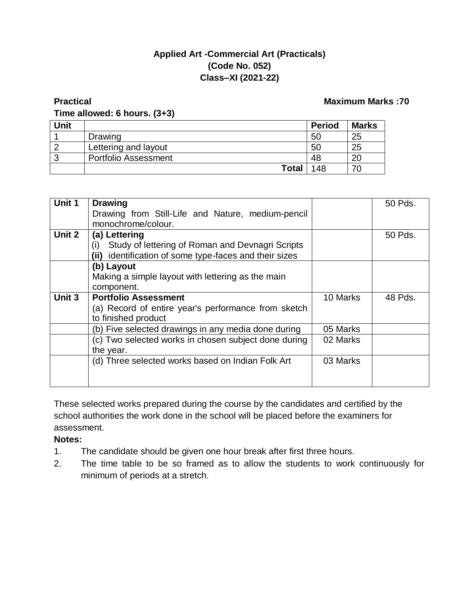#### **Applied Art -Commercial Art (Practicals) (Code No. 052) Class–XI (2021-22)**

#### **Practical Maximum Marks :70 Time allowed: 6 hours. (3+3)**

| <b>Unit</b> |                             | <b>Period</b> | <b>Marks</b> |
|-------------|-----------------------------|---------------|--------------|
|             | Drawing                     | 50            | 25           |
| ົ           | Lettering and layout        | 50            | 25           |
| ີ           | <b>Portfolio Assessment</b> | 48            | 20           |
|             | <b>Total</b>                | 148           | 70           |

| Unit 1 | <b>Drawing</b>                                            |          | 50 Pds. |
|--------|-----------------------------------------------------------|----------|---------|
|        | Drawing from Still-Life and Nature, medium-pencil         |          |         |
|        | monochrome/colour.                                        |          |         |
| Unit 2 | (a) Lettering                                             |          | 50 Pds. |
|        | Study of lettering of Roman and Devnagri Scripts<br>(i)   |          |         |
|        | identification of some type-faces and their sizes<br>(ii) |          |         |
|        | (b) Layout                                                |          |         |
|        | Making a simple layout with lettering as the main         |          |         |
|        | component.                                                |          |         |
| Unit 3 | <b>Portfolio Assessment</b>                               | 10 Marks | 48 Pds. |
|        | (a) Record of entire year's performance from sketch       |          |         |
|        | to finished product                                       |          |         |
|        | (b) Five selected drawings in any media done during       | 05 Marks |         |
|        | (c) Two selected works in chosen subject done during      | 02 Marks |         |
|        | the year.                                                 |          |         |
|        | (d) Three selected works based on Indian Folk Art         | 03 Marks |         |
|        |                                                           |          |         |
|        |                                                           |          |         |

These selected works prepared during the course by the candidates and certified by the school authorities the work done in the school will be placed before the examiners for assessment.

**Notes:**

- 1. The candidate should be given one hour break after first three hours.
- 2. The time table to be so framed as to allow the students to work continuously for minimum of periods at a stretch.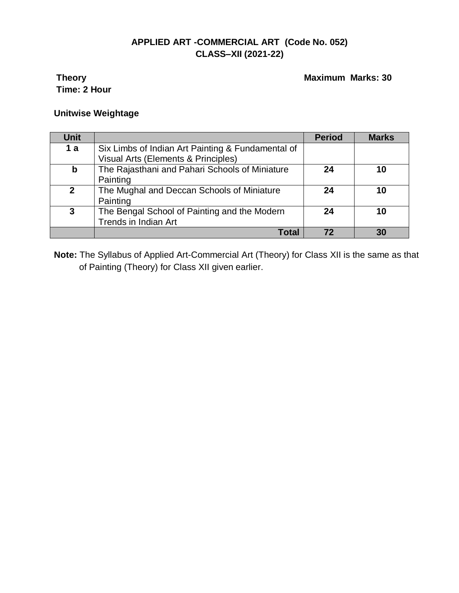### **APPLIED ART -COMMERCIAL ART (Code No. 052) CLASS–XII (2021-22)**

# **Time: 2 Hour**

**Theory Maximum Marks: 30** 

#### **Unitwise Weightage**

| Unit           |                                                   | <b>Period</b> | <b>Marks</b> |
|----------------|---------------------------------------------------|---------------|--------------|
| 1a             | Six Limbs of Indian Art Painting & Fundamental of |               |              |
|                | Visual Arts (Elements & Principles)               |               |              |
| $\mathbf b$    | The Rajasthani and Pahari Schools of Miniature    | 24            | 10           |
|                | Painting                                          |               |              |
| $\overline{2}$ | The Mughal and Deccan Schools of Miniature        | 24            | 10           |
|                | Painting                                          |               |              |
| 3              | The Bengal School of Painting and the Modern      | 24            | 10           |
|                | <b>Trends in Indian Art</b>                       |               |              |
|                | Tota                                              |               | 30           |

**Note:** The Syllabus of Applied Art-Commercial Art (Theory) for Class XII is the same as that of Painting (Theory) for Class XII given earlier.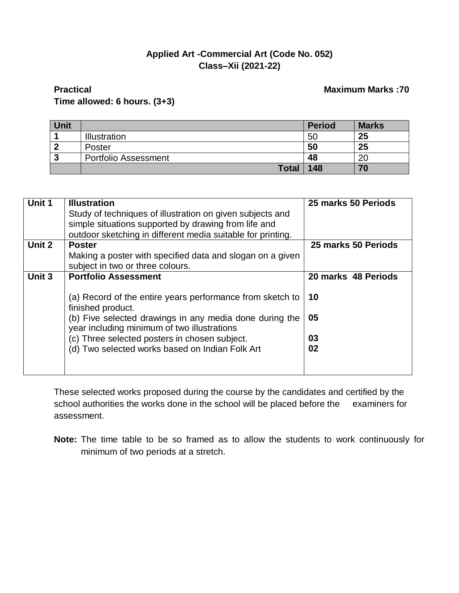#### **Applied Art -Commercial Art (Code No. 052) Class–Xii (2021-22)**

#### **Practical Maximum Marks :70 Maximum Marks :70 Time allowed: 6 hours. (3+3)**

| <b>Unit</b> |                             | <b>Period</b> | <b>Marks</b> |
|-------------|-----------------------------|---------------|--------------|
|             | <b>Illustration</b>         | 50            | 25           |
|             | Poster                      | 50            | 25           |
| כי          | <b>Portfolio Assessment</b> | 48            | 20           |
|             | <b>Total</b>                | 148           | 70           |

| Unit 1 | <b>Illustration</b><br>Study of techniques of illustration on given subjects and<br>simple situations supported by drawing from life and<br>outdoor sketching in different media suitable for printing.                                                                                                                     | 25 marks 50 Periods                         |
|--------|-----------------------------------------------------------------------------------------------------------------------------------------------------------------------------------------------------------------------------------------------------------------------------------------------------------------------------|---------------------------------------------|
| Unit 2 | <b>Poster</b><br>Making a poster with specified data and slogan on a given<br>subject in two or three colours.                                                                                                                                                                                                              | 25 marks 50 Periods                         |
| Unit 3 | <b>Portfolio Assessment</b><br>(a) Record of the entire years performance from sketch to<br>finished product.<br>(b) Five selected drawings in any media done during the<br>year including minimum of two illustrations<br>(c) Three selected posters in chosen subject.<br>(d) Two selected works based on Indian Folk Art | 20 marks 48 Periods<br>10<br>05<br>03<br>02 |

These selected works proposed during the course by the candidates and certified by the school authorities the works done in the school will be placed before the examiners for assessment.

**Note:** The time table to be so framed as to allow the students to work continuously for minimum of two periods at a stretch.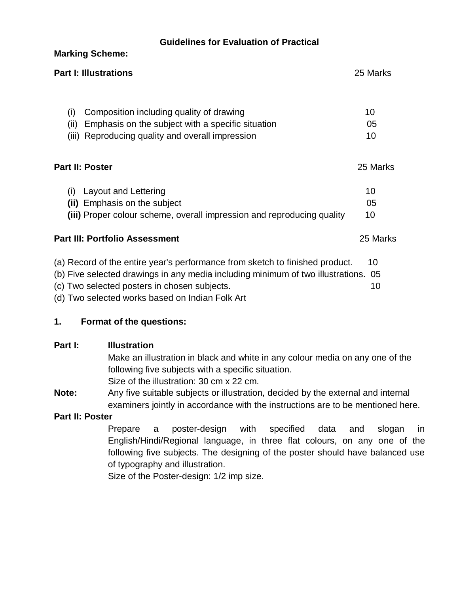| <b>Guidelines for Evaluation of Practical</b>                                      |          |  |  |  |
|------------------------------------------------------------------------------------|----------|--|--|--|
| <b>Marking Scheme:</b>                                                             |          |  |  |  |
| <b>Part I: Illustrations</b><br>25 Marks                                           |          |  |  |  |
|                                                                                    |          |  |  |  |
| Composition including quality of drawing<br>(i)                                    | 10       |  |  |  |
| Emphasis on the subject with a specific situation<br>(ii)                          | 05       |  |  |  |
| Reproducing quality and overall impression<br>(iii)                                | 10       |  |  |  |
| Part II: Poster                                                                    | 25 Marks |  |  |  |
| Layout and Lettering<br>(i)                                                        | 10       |  |  |  |
| (ii) Emphasis on the subject                                                       | 05       |  |  |  |
| (iii) Proper colour scheme, overall impression and reproducing quality             | 10       |  |  |  |
| <b>Part III: Portfolio Assessment</b>                                              |          |  |  |  |
| (a) Record of the entire year's performance from sketch to finished product.       | 10       |  |  |  |
| (b) Five selected drawings in any media including minimum of two illustrations. 05 |          |  |  |  |
| (c) Two selected posters in chosen subjects.                                       | 10       |  |  |  |

(d) Two selected works based on Indian Folk Art

#### **1. Format of the questions:**

#### **Part I:** Illustration

Make an illustration in black and white in any colour media on any one of the following five subjects with a specific situation. Size of the illustration: 30 cm x 22 cm.

**Note:** Any five suitable subjects or illustration, decided by the external and internal examiners jointly in accordance with the instructions are to be mentioned here.

#### **Part II: Poster**

Prepare a poster-design with specified data and slogan in English/Hindi/Regional language, in three flat colours, on any one of the following five subjects. The designing of the poster should have balanced use of typography and illustration.

Size of the Poster-design: 1/2 imp size.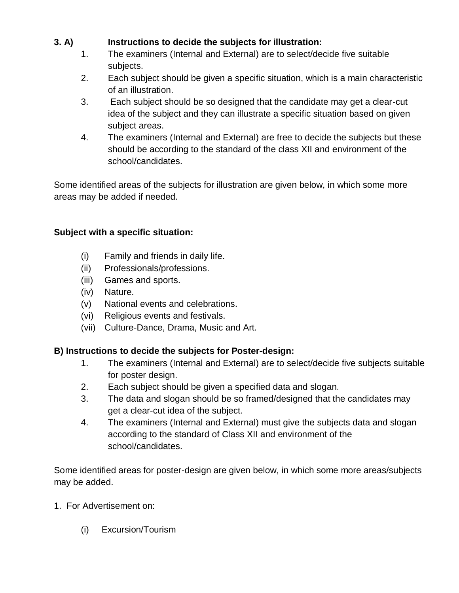### **3. A) Instructions to decide the subjects for illustration:**

- 1. The examiners (Internal and External) are to select/decide five suitable subjects.
- 2. Each subject should be given a specific situation, which is a main characteristic of an illustration.
- 3. Each subject should be so designed that the candidate may get a clear-cut idea of the subject and they can illustrate a specific situation based on given subject areas.
- 4. The examiners (Internal and External) are free to decide the subjects but these should be according to the standard of the class XII and environment of the school/candidates.

Some identified areas of the subjects for illustration are given below, in which some more areas may be added if needed.

#### **Subject with a specific situation:**

- (i) Family and friends in daily life.
- (ii) Professionals/professions.
- (iii) Games and sports.
- (iv) Nature.
- (v) National events and celebrations.
- (vi) Religious events and festivals.
- (vii) Culture-Dance, Drama, Music and Art.

#### **B) Instructions to decide the subjects for Poster-design:**

- 1. The examiners (Internal and External) are to select/decide five subjects suitable for poster design.
- 2. Each subject should be given a specified data and slogan.
- 3. The data and slogan should be so framed/designed that the candidates may get a clear-cut idea of the subject.
- 4. The examiners (Internal and External) must give the subjects data and slogan according to the standard of Class XII and environment of the school/candidates.

Some identified areas for poster-design are given below, in which some more areas/subjects may be added.

- 1. For Advertisement on:
	- (i) Excursion/Tourism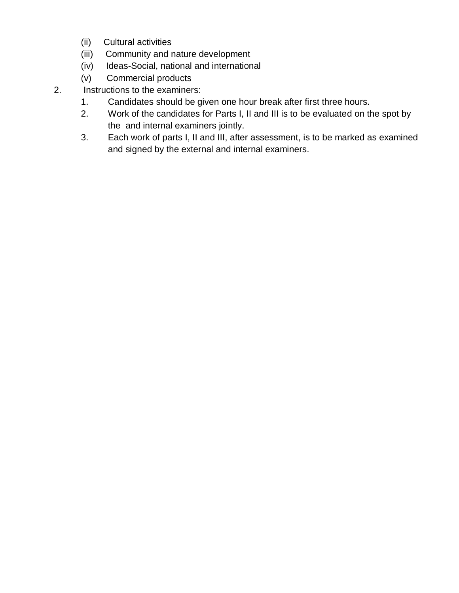- (ii) Cultural activities
- (iii) Community and nature development
- (iv) Ideas-Social, national and international
- (v) Commercial products
- 2. Instructions to the examiners:
	- 1. Candidates should be given one hour break after first three hours.
	- 2. Work of the candidates for Parts I, II and III is to be evaluated on the spot by the and internal examiners jointly.
	- 3. Each work of parts I, II and III, after assessment, is to be marked as examined and signed by the external and internal examiners.